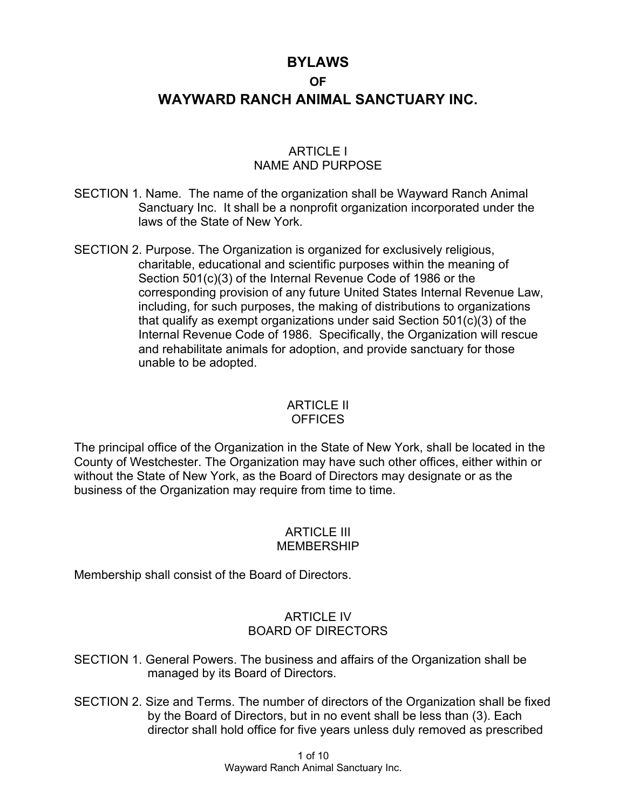# **BYLAWS**

#### **OF**

# **WAYWARD RANCH ANIMAL SANCTUARY INC.**

#### ARTICLE I NAME AND PURPOSE

- SECTION 1. Name. The name of the organization shall be Wayward Ranch Animal Sanctuary Inc. It shall be a nonprofit organization incorporated under the laws of the State of New York.
- SECTION 2. Purpose. The Organization is organized for exclusively religious, charitable, educational and scientific purposes within the meaning of Section 501(c)(3) of the Internal Revenue Code of 1986 or the corresponding provision of any future United States Internal Revenue Law, including, for such purposes, the making of distributions to organizations that qualify as exempt organizations under said Section 501(c)(3) of the Internal Revenue Code of 1986. Specifically, the Organization will rescue and rehabilitate animals for adoption, and provide sanctuary for those unable to be adopted.

#### ARTICLE II OFFICES

The principal office of the Organization in the State of New York, shall be located in the County of Westchester. The Organization may have such other offices, either within or without the State of New York, as the Board of Directors may designate or as the business of the Organization may require from time to time.

#### ARTICLE III MEMBERSHIP

Membership shall consist of the Board of Directors.

#### ARTICLE IV BOARD OF DIRECTORS

- SECTION 1. General Powers. The business and affairs of the Organization shall be managed by its Board of Directors.
- SECTION 2. Size and Terms. The number of directors of the Organization shall be fixed by the Board of Directors, but in no event shall be less than (3). Each director shall hold office for five years unless duly removed as prescribed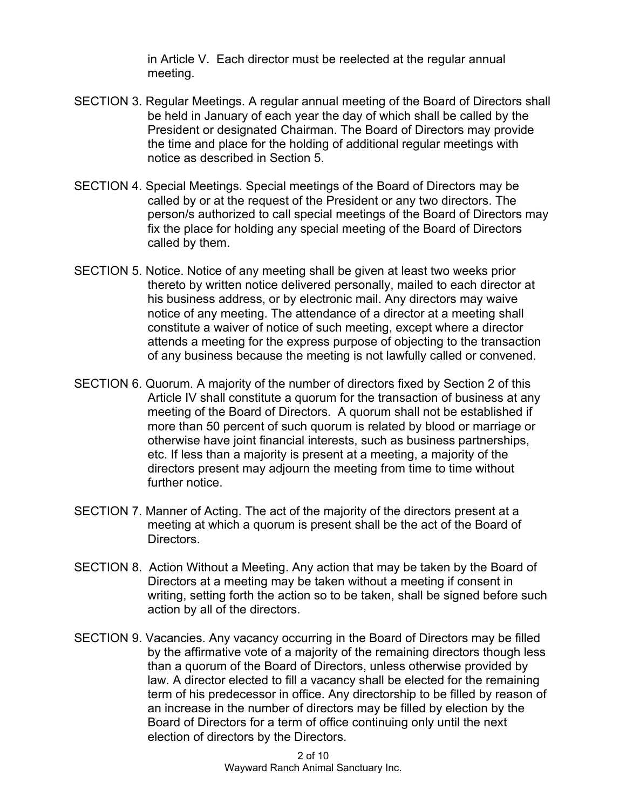in Article V. Each director must be reelected at the regular annual meeting.

- SECTION 3. Regular Meetings. A regular annual meeting of the Board of Directors shall be held in January of each year the day of which shall be called by the President or designated Chairman. The Board of Directors may provide the time and place for the holding of additional regular meetings with notice as described in Section 5.
- SECTION 4. Special Meetings. Special meetings of the Board of Directors may be called by or at the request of the President or any two directors. The person/s authorized to call special meetings of the Board of Directors may fix the place for holding any special meeting of the Board of Directors called by them.
- SECTION 5. Notice. Notice of any meeting shall be given at least two weeks prior thereto by written notice delivered personally, mailed to each director at his business address, or by electronic mail. Any directors may waive notice of any meeting. The attendance of a director at a meeting shall constitute a waiver of notice of such meeting, except where a director attends a meeting for the express purpose of objecting to the transaction of any business because the meeting is not lawfully called or convened.
- SECTION 6. Quorum. A majority of the number of directors fixed by Section 2 of this Article IV shall constitute a quorum for the transaction of business at any meeting of the Board of Directors. A quorum shall not be established if more than 50 percent of such quorum is related by blood or marriage or otherwise have joint financial interests, such as business partnerships, etc. If less than a majority is present at a meeting, a majority of the directors present may adjourn the meeting from time to time without further notice.
- SECTION 7. Manner of Acting. The act of the majority of the directors present at a meeting at which a quorum is present shall be the act of the Board of Directors.
- SECTION 8. Action Without a Meeting. Any action that may be taken by the Board of Directors at a meeting may be taken without a meeting if consent in writing, setting forth the action so to be taken, shall be signed before such action by all of the directors.
- SECTION 9. Vacancies. Any vacancy occurring in the Board of Directors may be filled by the affirmative vote of a majority of the remaining directors though less than a quorum of the Board of Directors, unless otherwise provided by law. A director elected to fill a vacancy shall be elected for the remaining term of his predecessor in office. Any directorship to be filled by reason of an increase in the number of directors may be filled by election by the Board of Directors for a term of office continuing only until the next election of directors by the Directors.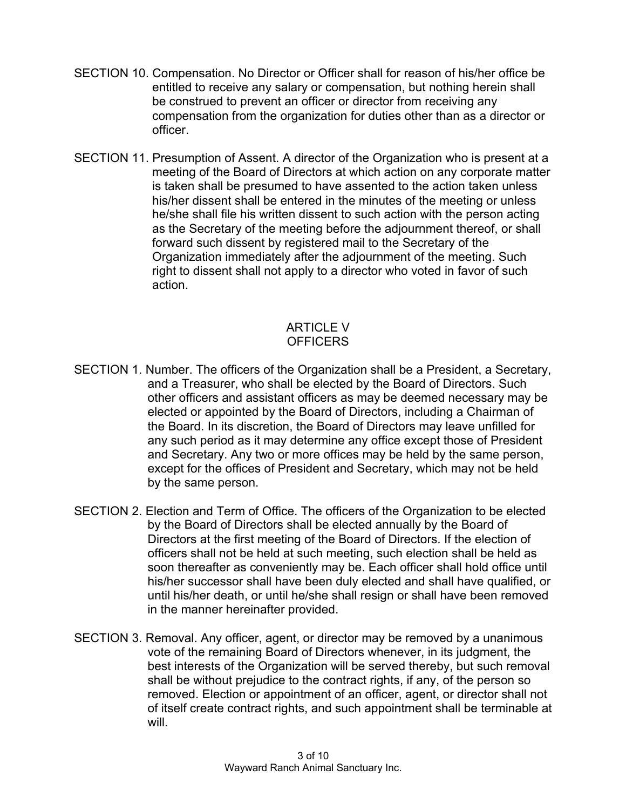- SECTION 10. Compensation. No Director or Officer shall for reason of his/her office be entitled to receive any salary or compensation, but nothing herein shall be construed to prevent an officer or director from receiving any compensation from the organization for duties other than as a director or officer.
- SECTION 11. Presumption of Assent. A director of the Organization who is present at a meeting of the Board of Directors at which action on any corporate matter is taken shall be presumed to have assented to the action taken unless his/her dissent shall be entered in the minutes of the meeting or unless he/she shall file his written dissent to such action with the person acting as the Secretary of the meeting before the adjournment thereof, or shall forward such dissent by registered mail to the Secretary of the Organization immediately after the adjournment of the meeting. Such right to dissent shall not apply to a director who voted in favor of such action.

# ARTICLE V **OFFICERS**

- SECTION 1. Number. The officers of the Organization shall be a President, a Secretary, and a Treasurer, who shall be elected by the Board of Directors. Such other officers and assistant officers as may be deemed necessary may be elected or appointed by the Board of Directors, including a Chairman of the Board. In its discretion, the Board of Directors may leave unfilled for any such period as it may determine any office except those of President and Secretary. Any two or more offices may be held by the same person, except for the offices of President and Secretary, which may not be held by the same person.
- SECTION 2. Election and Term of Office. The officers of the Organization to be elected by the Board of Directors shall be elected annually by the Board of Directors at the first meeting of the Board of Directors. If the election of officers shall not be held at such meeting, such election shall be held as soon thereafter as conveniently may be. Each officer shall hold office until his/her successor shall have been duly elected and shall have qualified, or until his/her death, or until he/she shall resign or shall have been removed in the manner hereinafter provided.
- SECTION 3. Removal. Any officer, agent, or director may be removed by a unanimous vote of the remaining Board of Directors whenever, in its judgment, the best interests of the Organization will be served thereby, but such removal shall be without prejudice to the contract rights, if any, of the person so removed. Election or appointment of an officer, agent, or director shall not of itself create contract rights, and such appointment shall be terminable at will.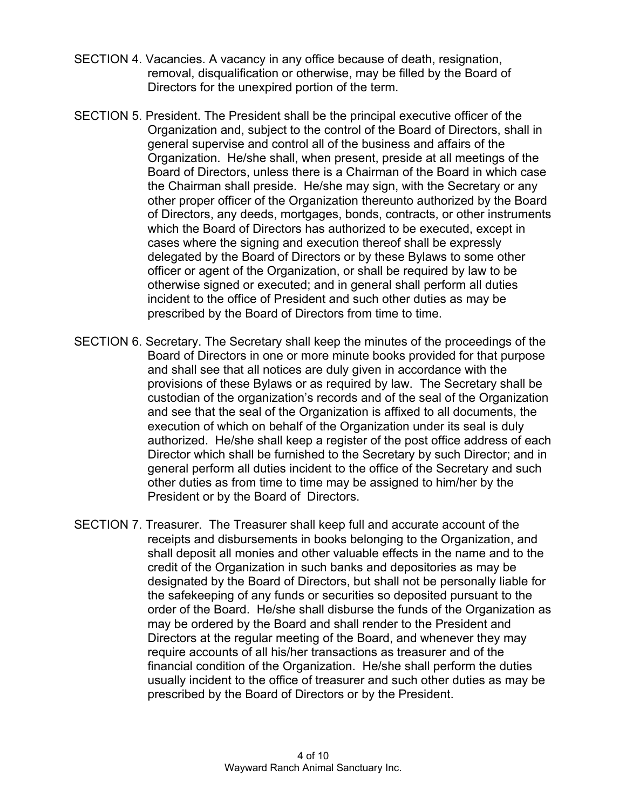- SECTION 4. Vacancies. A vacancy in any office because of death, resignation, removal, disqualification or otherwise, may be filled by the Board of Directors for the unexpired portion of the term.
- SECTION 5. President. The President shall be the principal executive officer of the Organization and, subject to the control of the Board of Directors, shall in general supervise and control all of the business and affairs of the Organization. He/she shall, when present, preside at all meetings of the Board of Directors, unless there is a Chairman of the Board in which case the Chairman shall preside. He/she may sign, with the Secretary or any other proper officer of the Organization thereunto authorized by the Board of Directors, any deeds, mortgages, bonds, contracts, or other instruments which the Board of Directors has authorized to be executed, except in cases where the signing and execution thereof shall be expressly delegated by the Board of Directors or by these Bylaws to some other officer or agent of the Organization, or shall be required by law to be otherwise signed or executed; and in general shall perform all duties incident to the office of President and such other duties as may be prescribed by the Board of Directors from time to time.
- SECTION 6. Secretary. The Secretary shall keep the minutes of the proceedings of the Board of Directors in one or more minute books provided for that purpose and shall see that all notices are duly given in accordance with the provisions of these Bylaws or as required by law. The Secretary shall be custodian of the organization's records and of the seal of the Organization and see that the seal of the Organization is affixed to all documents, the execution of which on behalf of the Organization under its seal is duly authorized. He/she shall keep a register of the post office address of each Director which shall be furnished to the Secretary by such Director; and in general perform all duties incident to the office of the Secretary and such other duties as from time to time may be assigned to him/her by the President or by the Board of Directors.
- SECTION 7. Treasurer. The Treasurer shall keep full and accurate account of the receipts and disbursements in books belonging to the Organization, and shall deposit all monies and other valuable effects in the name and to the credit of the Organization in such banks and depositories as may be designated by the Board of Directors, but shall not be personally liable for the safekeeping of any funds or securities so deposited pursuant to the order of the Board. He/she shall disburse the funds of the Organization as may be ordered by the Board and shall render to the President and Directors at the regular meeting of the Board, and whenever they may require accounts of all his/her transactions as treasurer and of the financial condition of the Organization. He/she shall perform the duties usually incident to the office of treasurer and such other duties as may be prescribed by the Board of Directors or by the President.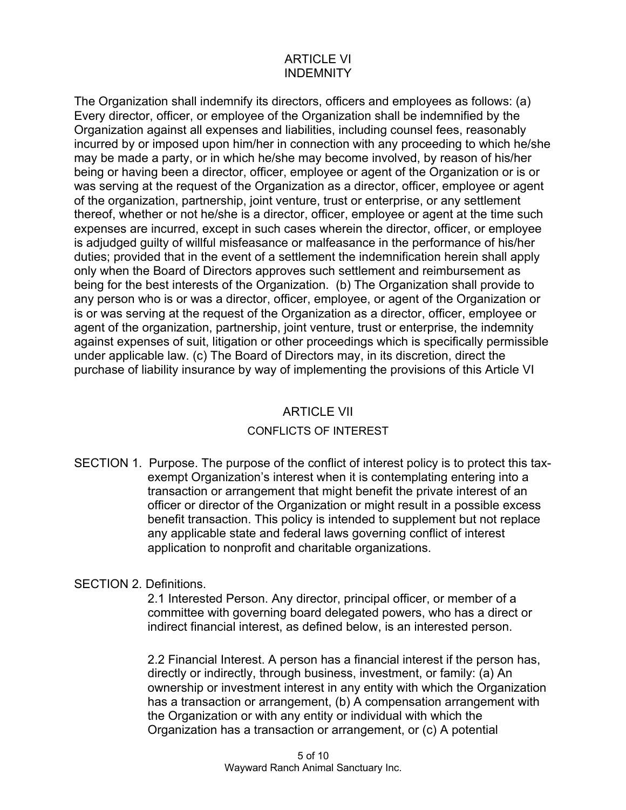## ARTICLE VI INDEMNITY

The Organization shall indemnify its directors, officers and employees as follows: (a) Every director, officer, or employee of the Organization shall be indemnified by the Organization against all expenses and liabilities, including counsel fees, reasonably incurred by or imposed upon him/her in connection with any proceeding to which he/she may be made a party, or in which he/she may become involved, by reason of his/her being or having been a director, officer, employee or agent of the Organization or is or was serving at the request of the Organization as a director, officer, employee or agent of the organization, partnership, joint venture, trust or enterprise, or any settlement thereof, whether or not he/she is a director, officer, employee or agent at the time such expenses are incurred, except in such cases wherein the director, officer, or employee is adjudged guilty of willful misfeasance or malfeasance in the performance of his/her duties; provided that in the event of a settlement the indemnification herein shall apply only when the Board of Directors approves such settlement and reimbursement as being for the best interests of the Organization. (b) The Organization shall provide to any person who is or was a director, officer, employee, or agent of the Organization or is or was serving at the request of the Organization as a director, officer, employee or agent of the organization, partnership, joint venture, trust or enterprise, the indemnity against expenses of suit, litigation or other proceedings which is specifically permissible under applicable law. (c) The Board of Directors may, in its discretion, direct the purchase of liability insurance by way of implementing the provisions of this Article VI

### ARTICLE VII

#### CONFLICTS OF INTEREST

SECTION 1. Purpose. The purpose of the conflict of interest policy is to protect this taxexempt Organization's interest when it is contemplating entering into a transaction or arrangement that might benefit the private interest of an officer or director of the Organization or might result in a possible excess benefit transaction. This policy is intended to supplement but not replace any applicable state and federal laws governing conflict of interest application to nonprofit and charitable organizations.

# SECTION 2. Definitions.

2.1 Interested Person. Any director, principal officer, or member of a committee with governing board delegated powers, who has a direct or indirect financial interest, as defined below, is an interested person.

2.2 Financial Interest. A person has a financial interest if the person has, directly or indirectly, through business, investment, or family: (a) An ownership or investment interest in any entity with which the Organization has a transaction or arrangement, (b) A compensation arrangement with the Organization or with any entity or individual with which the Organization has a transaction or arrangement, or (c) A potential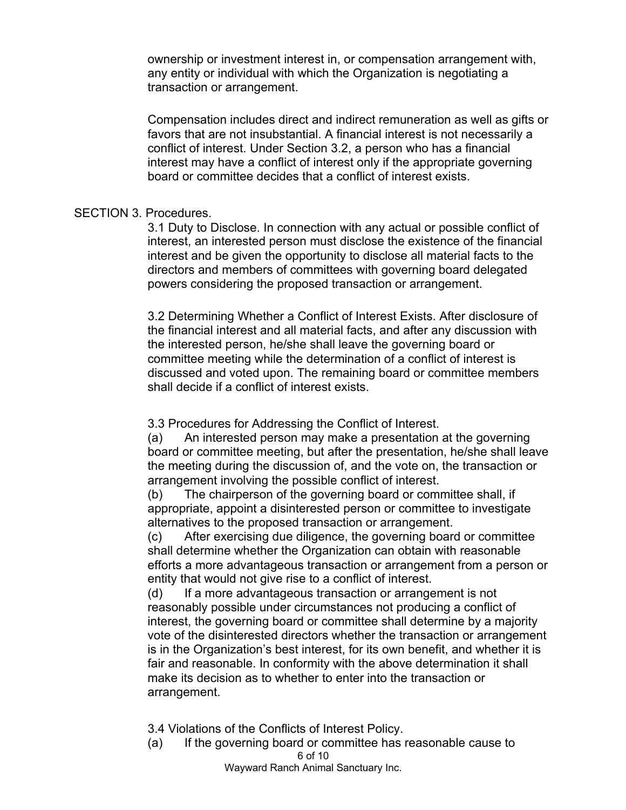ownership or investment interest in, or compensation arrangement with, any entity or individual with which the Organization is negotiating a transaction or arrangement.

Compensation includes direct and indirect remuneration as well as gifts or favors that are not insubstantial. A financial interest is not necessarily a conflict of interest. Under Section 3.2, a person who has a financial interest may have a conflict of interest only if the appropriate governing board or committee decides that a conflict of interest exists.

#### SECTION 3. Procedures.

3.1 Duty to Disclose. In connection with any actual or possible conflict of interest, an interested person must disclose the existence of the financial interest and be given the opportunity to disclose all material facts to the directors and members of committees with governing board delegated powers considering the proposed transaction or arrangement.

3.2 Determining Whether a Conflict of Interest Exists. After disclosure of the financial interest and all material facts, and after any discussion with the interested person, he/she shall leave the governing board or committee meeting while the determination of a conflict of interest is discussed and voted upon. The remaining board or committee members shall decide if a conflict of interest exists.

3.3 Procedures for Addressing the Conflict of Interest.

(a) An interested person may make a presentation at the governing board or committee meeting, but after the presentation, he/she shall leave the meeting during the discussion of, and the vote on, the transaction or arrangement involving the possible conflict of interest.

(b) The chairperson of the governing board or committee shall, if appropriate, appoint a disinterested person or committee to investigate alternatives to the proposed transaction or arrangement.

(c) After exercising due diligence, the governing board or committee shall determine whether the Organization can obtain with reasonable efforts a more advantageous transaction or arrangement from a person or entity that would not give rise to a conflict of interest.

(d) If a more advantageous transaction or arrangement is not reasonably possible under circumstances not producing a conflict of interest, the governing board or committee shall determine by a majority vote of the disinterested directors whether the transaction or arrangement is in the Organization's best interest, for its own benefit, and whether it is fair and reasonable. In conformity with the above determination it shall make its decision as to whether to enter into the transaction or arrangement.

3.4 Violations of the Conflicts of Interest Policy.

6 of 10 Wayward Ranch Animal Sanctuary Inc. (a) If the governing board or committee has reasonable cause to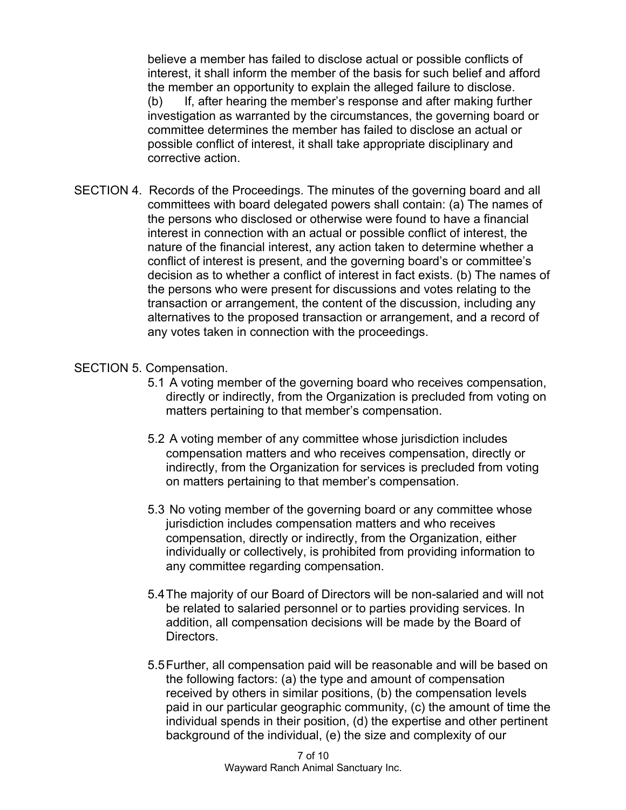believe a member has failed to disclose actual or possible conflicts of interest, it shall inform the member of the basis for such belief and afford the member an opportunity to explain the alleged failure to disclose. (b) If, after hearing the member's response and after making further investigation as warranted by the circumstances, the governing board or committee determines the member has failed to disclose an actual or possible conflict of interest, it shall take appropriate disciplinary and corrective action.

SECTION 4. Records of the Proceedings. The minutes of the governing board and all committees with board delegated powers shall contain: (a) The names of the persons who disclosed or otherwise were found to have a financial interest in connection with an actual or possible conflict of interest, the nature of the financial interest, any action taken to determine whether a conflict of interest is present, and the governing board's or committee's decision as to whether a conflict of interest in fact exists. (b) The names of the persons who were present for discussions and votes relating to the transaction or arrangement, the content of the discussion, including any alternatives to the proposed transaction or arrangement, and a record of any votes taken in connection with the proceedings.

#### SECTION 5. Compensation.

- 5.1 A voting member of the governing board who receives compensation, directly or indirectly, from the Organization is precluded from voting on matters pertaining to that member's compensation.
- 5.2 A voting member of any committee whose jurisdiction includes compensation matters and who receives compensation, directly or indirectly, from the Organization for services is precluded from voting on matters pertaining to that member's compensation.
- 5.3 No voting member of the governing board or any committee whose jurisdiction includes compensation matters and who receives compensation, directly or indirectly, from the Organization, either individually or collectively, is prohibited from providing information to any committee regarding compensation.
- 5.4The majority of our Board of Directors will be non-salaried and will not be related to salaried personnel or to parties providing services. In addition, all compensation decisions will be made by the Board of Directors.
- 5.5Further, all compensation paid will be reasonable and will be based on the following factors: (a) the type and amount of compensation received by others in similar positions, (b) the compensation levels paid in our particular geographic community, (c) the amount of time the individual spends in their position, (d) the expertise and other pertinent background of the individual, (e) the size and complexity of our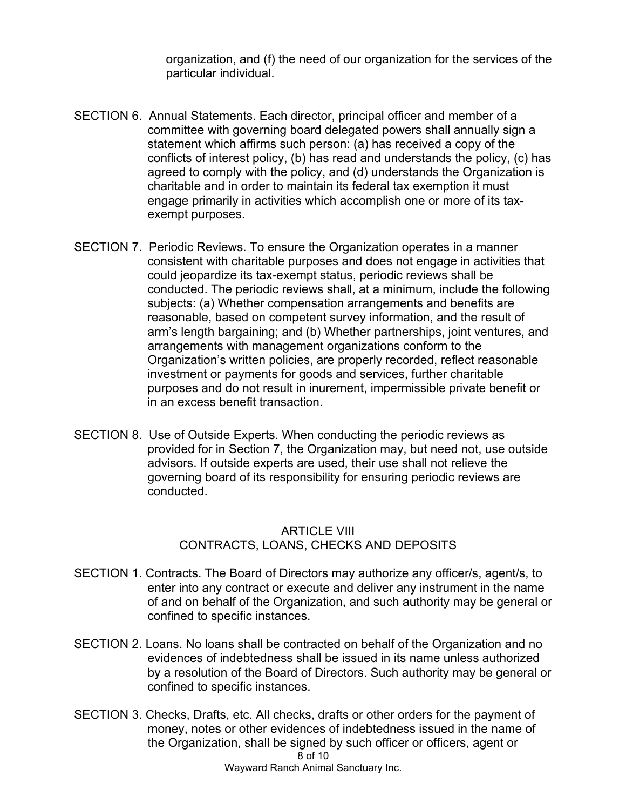organization, and (f) the need of our organization for the services of the particular individual.

- SECTION 6. Annual Statements. Each director, principal officer and member of a committee with governing board delegated powers shall annually sign a statement which affirms such person: (a) has received a copy of the conflicts of interest policy, (b) has read and understands the policy, (c) has agreed to comply with the policy, and (d) understands the Organization is charitable and in order to maintain its federal tax exemption it must engage primarily in activities which accomplish one or more of its taxexempt purposes.
- SECTION 7. Periodic Reviews. To ensure the Organization operates in a manner consistent with charitable purposes and does not engage in activities that could jeopardize its tax-exempt status, periodic reviews shall be conducted. The periodic reviews shall, at a minimum, include the following subjects: (a) Whether compensation arrangements and benefits are reasonable, based on competent survey information, and the result of arm's length bargaining; and (b) Whether partnerships, joint ventures, and arrangements with management organizations conform to the Organization's written policies, are properly recorded, reflect reasonable investment or payments for goods and services, further charitable purposes and do not result in inurement, impermissible private benefit or in an excess benefit transaction.
- SECTION 8. Use of Outside Experts. When conducting the periodic reviews as provided for in Section 7, the Organization may, but need not, use outside advisors. If outside experts are used, their use shall not relieve the governing board of its responsibility for ensuring periodic reviews are conducted.

#### ARTICLE VIII CONTRACTS, LOANS, CHECKS AND DEPOSITS

- SECTION 1. Contracts. The Board of Directors may authorize any officer/s, agent/s, to enter into any contract or execute and deliver any instrument in the name of and on behalf of the Organization, and such authority may be general or confined to specific instances.
- SECTION 2. Loans. No loans shall be contracted on behalf of the Organization and no evidences of indebtedness shall be issued in its name unless authorized by a resolution of the Board of Directors. Such authority may be general or confined to specific instances.
- 8 of 10 Wayward Ranch Animal Sanctuary Inc. SECTION 3. Checks, Drafts, etc. All checks, drafts or other orders for the payment of money, notes or other evidences of indebtedness issued in the name of the Organization, shall be signed by such officer or officers, agent or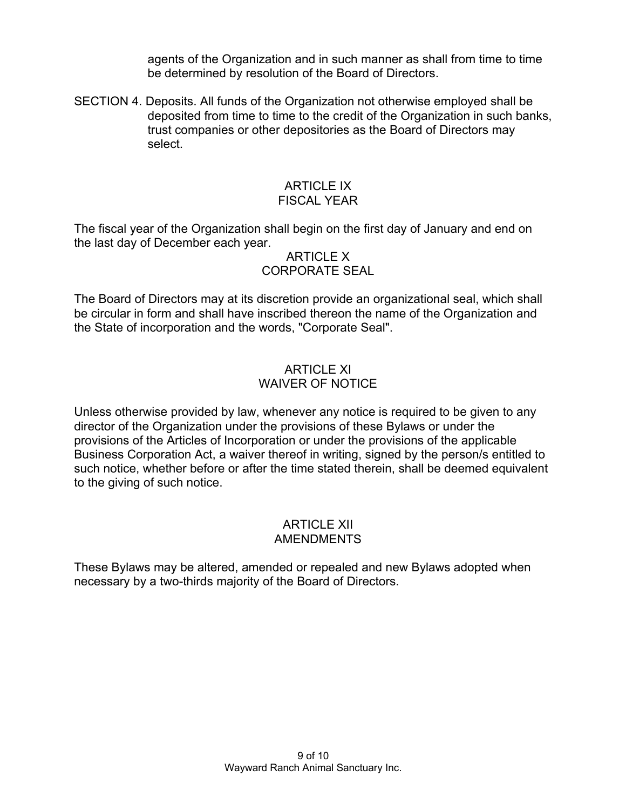agents of the Organization and in such manner as shall from time to time be determined by resolution of the Board of Directors.

SECTION 4. Deposits. All funds of the Organization not otherwise employed shall be deposited from time to time to the credit of the Organization in such banks, trust companies or other depositories as the Board of Directors may select.

#### ARTICLE IX FISCAL YEAR

The fiscal year of the Organization shall begin on the first day of January and end on the last day of December each year.

#### ARTICLE X CORPORATE SEAL

The Board of Directors may at its discretion provide an organizational seal, which shall be circular in form and shall have inscribed thereon the name of the Organization and the State of incorporation and the words, "Corporate Seal".

#### ARTICLE XI WAIVER OF NOTICE

Unless otherwise provided by law, whenever any notice is required to be given to any director of the Organization under the provisions of these Bylaws or under the provisions of the Articles of Incorporation or under the provisions of the applicable Business Corporation Act, a waiver thereof in writing, signed by the person/s entitled to such notice, whether before or after the time stated therein, shall be deemed equivalent to the giving of such notice.

#### ARTICLE XII AMENDMENTS

These Bylaws may be altered, amended or repealed and new Bylaws adopted when necessary by a two-thirds majority of the Board of Directors.